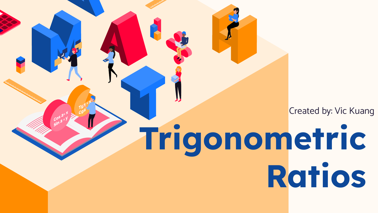Created by: Vic Kuang

**Ratios**

**Trigonometric**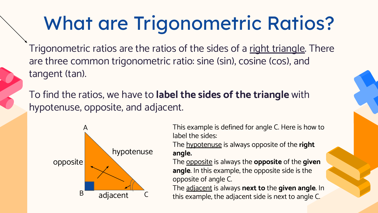## What are Trigonometric Ratios?

Trigonometric ratios are the ratios of the sides of a right triangle. There are three common trigonometric ratio: sine (sin), cosine (cos), and tangent (tan).

To find the ratios, we have to **label the sides of the triangle** with hypotenuse, opposite, and adjacent.



This example is defined for angle C. Here is how to label the sides:

The hypotenuse is always opposite of the **right angle.**

The opposite is always the **opposite** of the **given angle**. In this example, the opposite side is the opposite of angle C.

The adjacent is always **next to** the **given angle**. In this example, the adjacent side is next to angle C.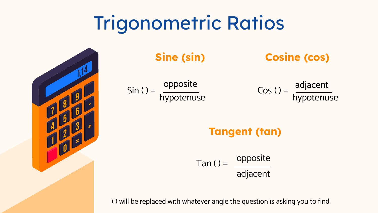## Trigonometric Ratios



### **Sine (sin) Cosine (cos)**

 $\sin$  ( ) =  $\frac{1}{\sin \theta}$  ( ) =  $\cos$  ( ) = opposite hypotenuse

adjacent hypotenuse

#### **Tangent (tan)**

Tan ( )  $=$ opposite adjacent

( ) will be replaced with whatever angle the question is asking you to find.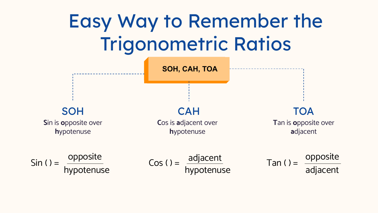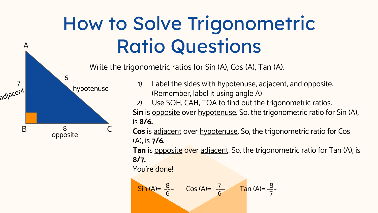## How to Solve Trigonometric A Ratio Questions

Write the trigonometric ratios for Sin (A), Cos (A), Tan (A).



- 1) Label the sides with hypotenuse, adjacent, and opposite. (Remember, label it using angle A)
- 2) Use SOH, CAH, TOA to find out the trigonometric ratios. **Sin** is opposite over hypotenuse. So, the trigonometric ratio for Sin (A), is **8/6.**
- **Cos** is adjacent over hypotenuse. So, the trigonometric ratio for Cos (A), is **7/6**.

**Tan** is opposite over adjacent. So, the trigonometric ratio for Tan (A), is **8/7.**

You're done!

Sin (A)= 
$$
\frac{8}{6}
$$
  $\cos(A) = \frac{7}{6}$   $\tan(A) = \frac{8}{7}$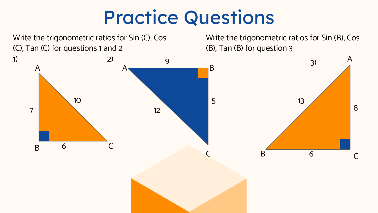## Practice Questions

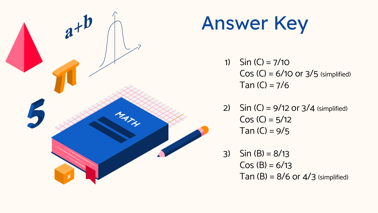

## Answer Key

- 1) Sin  $(C) = 7/10$  $Cos (C) = 6/10$  or  $3/5$  (simplified) Tan  $(C) = 7/6$
- 2) Sin  $(C) = 9/12$  or  $3/4$  (simplified)  $Cos (C) = 5/12$ Tan  $(C) = 9/5$
- 3)  $Sin (B) = 8/13$  $Cos (B) = 6/13$ Tan  $(B) = 8/6$  or  $4/3$  (simplified)